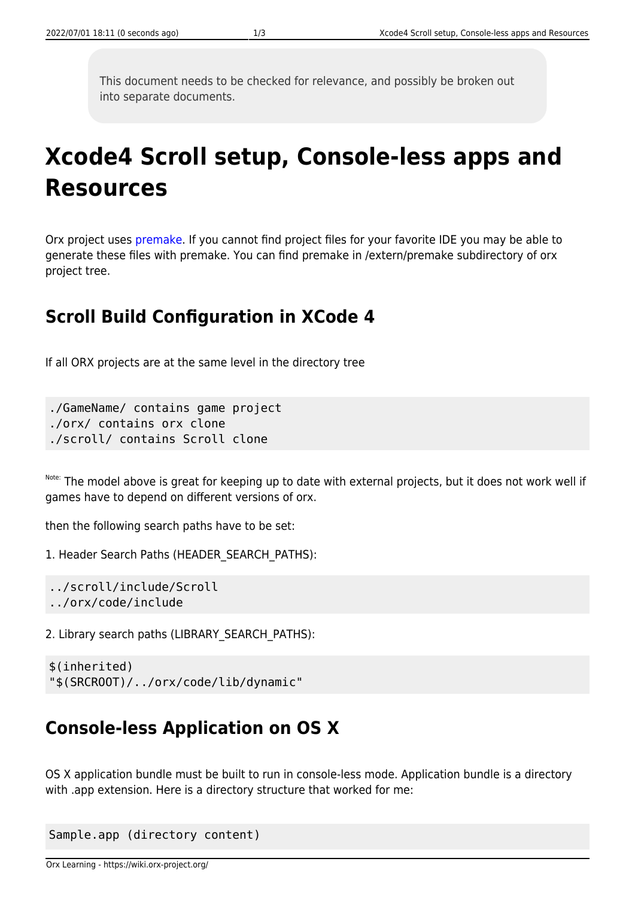This document needs to be checked for relevance, and possibly be broken out into separate documents.

# **Xcode4 Scroll setup, Console-less apps and Resources**

Orx project uses [premake.](http://industriousone.com/what-premake) If you cannot find project files for your favorite IDE you may be able to generate these files with premake. You can find premake in /extern/premake subdirectory of orx project tree.

### **Scroll Build Configuration in XCode 4**

If all ORX projects are at the same level in the directory tree

./GameName/ contains game project ./orx/ contains orx clone ./scroll/ contains Scroll clone

Note: The model above is great for keeping up to date with external projects, but it does not work well if games have to depend on different versions of orx.

then the following search paths have to be set:

1. Header Search Paths (HEADER\_SEARCH\_PATHS):

```
../scroll/include/Scroll
../orx/code/include
```
2. Library search paths (LIBRARY\_SEARCH\_PATHS):

```
$(inherited)
"$(SRCROOT)/../orx/code/lib/dynamic"
```
## **Console-less Application on OS X**

OS X application bundle must be built to run in console-less mode. Application bundle is a directory with .app extension. Here is a directory structure that worked for me:

```
Sample.app (directory content)
```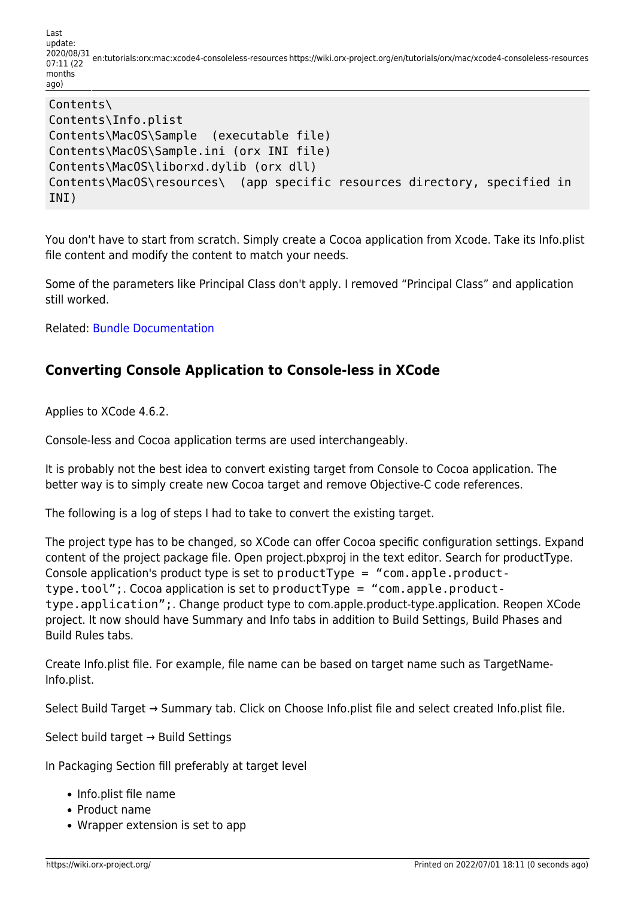Last update: 2020/08/31 07:11 (22 en:tutorials:orx:mac:xcode4-consoleless-resources https://wiki.orx-project.org/en/tutorials/orx/mac/xcode4-consoleless-resources months ago)

```
Contents\
Contents\Info.plist
Contents\MacOS\Sample (executable file)
Contents\MacOS\Sample.ini (orx INI file)
Contents\MacOS\liborxd.dylib (orx dll)
Contents\MacOS\resources\ (app specific resources directory, specified in
INI)
```
You don't have to start from scratch. Simply create a Cocoa application from Xcode. Take its Info.plist file content and modify the content to match your needs.

Some of the parameters like Principal Class don't apply. I removed "Principal Class" and application still worked.

Related: [Bundle Documentation](http://developer.apple.com/library/mac/#documentation/CoreFoundation/Conceptual/CFBundles/BundleTypes/BundleTypes.html)

### **Converting Console Application to Console-less in XCode**

Applies to XCode 4.6.2.

Console-less and Cocoa application terms are used interchangeably.

It is probably not the best idea to convert existing target from Console to Cocoa application. The better way is to simply create new Cocoa target and remove Objective-C code references.

The following is a log of steps I had to take to convert the existing target.

The project type has to be changed, so XCode can offer Cocoa specific configuration settings. Expand content of the project package file. Open project.pbxproj in the text editor. Search for productType. Console application's product type is set to productType = "com.apple.producttype.tool";. Cocoa application is set to productType = "com.apple.producttype.application";. Change product type to com.apple.product-type.application. Reopen XCode project. It now should have Summary and Info tabs in addition to Build Settings, Build Phases and Build Rules tabs.

Create Info.plist file. For example, file name can be based on target name such as TargetName-Info.plist.

Select Build Target → Summary tab. Click on Choose Info.plist file and select created Info.plist file.

Select build target → Build Settings

In Packaging Section fill preferably at target level

- Info.plist file name
- Product name
- Wrapper extension is set to app